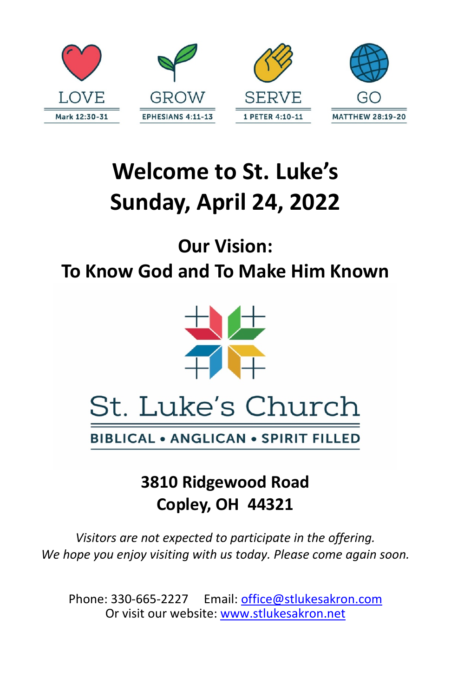

# **Welcome to St. Luke's Sunday, April 24, 2022**

# **Our Vision:**

# **To Know God and To Make Him Known**



# St. Luke's Church

**BIBLICAL • ANGLICAN • SPIRIT FILLED** 

**3810 Ridgewood Road Copley, OH 44321**

*Visitors are not expected to participate in the offering. We hope you enjoy visiting with us today. Please come again soon.* 

Phone: 330-665-2227 Email: [office@stlukesakron.com](mailto:office@stlukesakron.com) Or visit our website: [www.stlukesakron.net](http://www.stlukesakron.net/)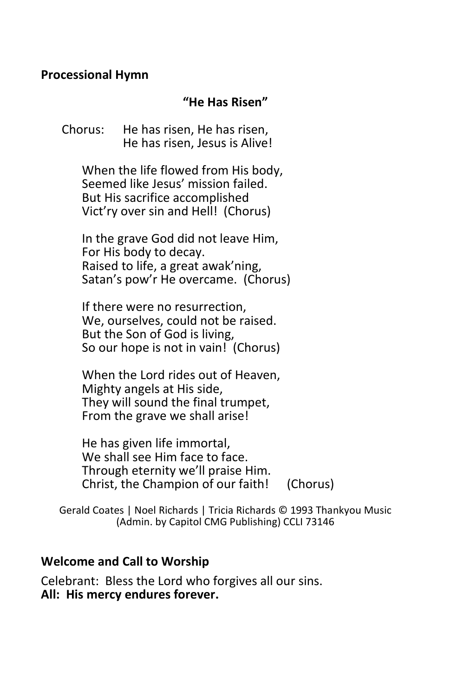#### **Processional Hymn**

#### **"He Has Risen"**

 Chorus: He has risen, He has risen, He has risen, Jesus is Alive!

When the life flowed from His body, Seemed like Jesus' mission failed. But His sacrifice accomplished Vict'ry over sin and Hell! (Chorus)

In the grave God did not leave Him, For His body to decay. Raised to life, a great awak'ning, Satan's pow'r He overcame. (Chorus)

If there were no resurrection, We, ourselves, could not be raised. But the Son of God is living, So our hope is not in vain! (Chorus)

When the Lord rides out of Heaven, Mighty angels at His side, They will sound the final trumpet, From the grave we shall arise!

He has given life immortal, We shall see Him face to face. Through eternity we'll praise Him. Christ, the Champion of our faith! (Chorus)

Gerald Coates | Noel Richards | Tricia Richards © 1993 Thankyou Music (Admin. by Capitol CMG Publishing) CCLI 73146

#### **Welcome and Call to Worship**

Celebrant: Bless the Lord who forgives all our sins. **All: His mercy endures forever.**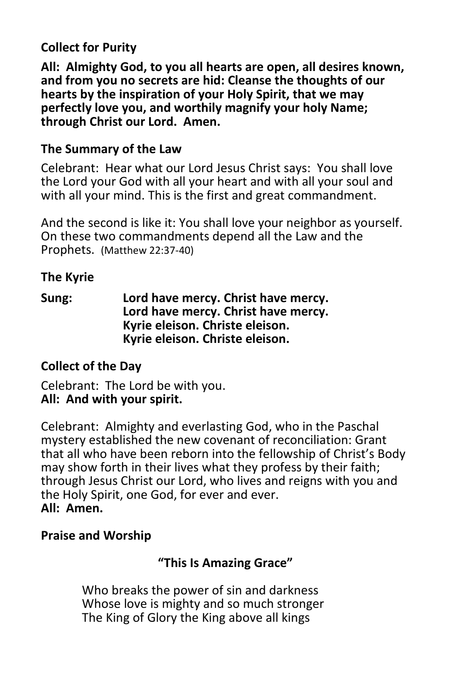# **Collect for Purity**

**All: Almighty God, to you all hearts are open, all desires known, and from you no secrets are hid: Cleanse the thoughts of our hearts by the inspiration of your Holy Spirit, that we may perfectly love you, and worthily magnify your holy Name; through Christ our Lord. Amen.**

# **The Summary of the Law**

Celebrant: Hear what our Lord Jesus Christ says: You shall love the Lord your God with all your heart and with all your soul and with all your mind. This is the first and great commandment.

And the second is like it: You shall love your neighbor as yourself. On these two commandments depend all the Law and the Prophets. (Matthew 22:37-40)

# **The Kyrie**

**Sung: Lord have mercy. Christ have mercy. Lord have mercy. Christ have mercy. Kyrie eleison. Christe eleison. Kyrie eleison. Christe eleison.**

#### **Collect of the Day**

Celebrant: The Lord be with you. **All: And with your spirit.**

Celebrant: Almighty and everlasting God, who in the Paschal mystery established the new covenant of reconciliation: Grant that all who have been reborn into the fellowship of Christ's Body may show forth in their lives what they profess by their faith; through Jesus Christ our Lord, who lives and reigns with you and the Holy Spirit, one God, for ever and ever. **All: Amen.**

#### **Praise and Worship**

#### **"This Is Amazing Grace"**

Who breaks the power of sin and darkness Whose love is mighty and so much stronger The King of Glory the King above all kings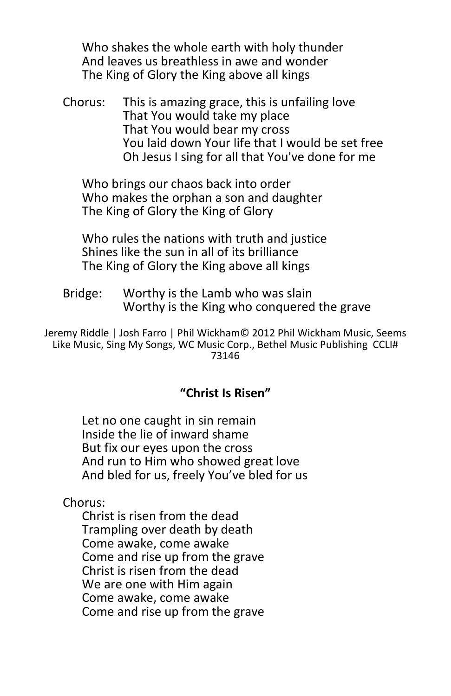Who shakes the whole earth with holy thunder And leaves us breathless in awe and wonder The King of Glory the King above all kings

 Chorus: This is amazing grace, this is unfailing love That You would take my place That You would bear my cross You laid down Your life that I would be set free Oh Jesus I sing for all that You've done for me

Who brings our chaos back into order Who makes the orphan a son and daughter The King of Glory the King of Glory

Who rules the nations with truth and justice Shines like the sun in all of its brilliance The King of Glory the King above all kings

 Bridge: Worthy is the Lamb who was slain Worthy is the King who conquered the grave

Jeremy Riddle | Josh Farro | Phil Wickham© 2012 Phil Wickham Music, Seems Like Music, Sing My Songs, WC Music Corp., Bethel Music Publishing CCLI# 73146

#### **"Christ Is Risen"**

Let no one caught in sin remain Inside the lie of inward shame But fix our eyes upon the cross And run to Him who showed great love And bled for us, freely You've bled for us

Chorus:

Christ is risen from the dead Trampling over death by death Come awake, come awake Come and rise up from the grave Christ is risen from the dead We are one with Him again Come awake, come awake Come and rise up from the grave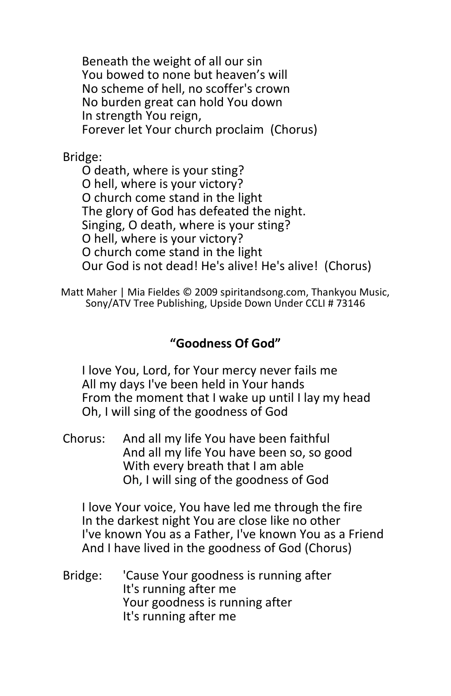Beneath the weight of all our sin You bowed to none but heaven's will No scheme of hell, no scoffer's crown No burden great can hold You down In strength You reign, Forever let Your church proclaim (Chorus)

Bridge:

O death, where is your sting? O hell, where is your victory? O church come stand in the light The glory of God has defeated the night. Singing, O death, where is your sting? O hell, where is your victory? O church come stand in the light Our God is not dead! He's alive! He's alive! (Chorus)

Matt Maher | Mia Fieldes © 2009 spiritandsong.com, Thankyou Music, Sony/ATV Tree Publishing, Upside Down Under CCLI # 73146

## **"Goodness Of God"**

I love You, Lord, for Your mercy never fails me All my days I've been held in Your hands From the moment that I wake up until I lay my head Oh, I will sing of the goodness of God

 Chorus: And all my life You have been faithful And all my life You have been so, so good With every breath that I am able Oh, I will sing of the goodness of God

I love Your voice, You have led me through the fire In the darkest night You are close like no other I've known You as a Father, I've known You as a Friend And I have lived in the goodness of God (Chorus)

 Bridge: 'Cause Your goodness is running after It's running after me Your goodness is running after It's running after me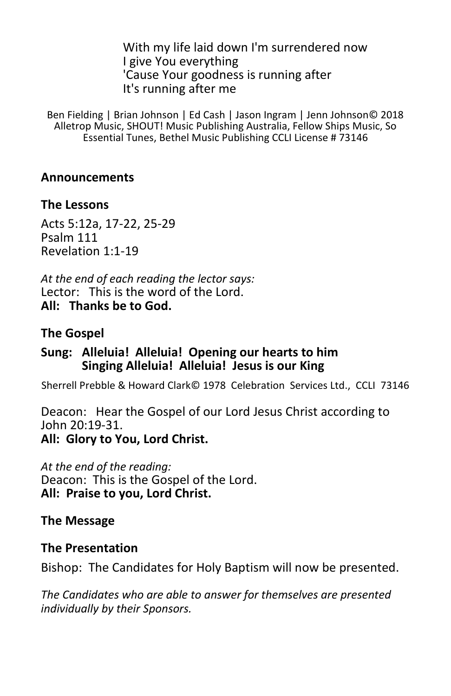With my life laid down I'm surrendered now I give You everything 'Cause Your goodness is running after It's running after me

Ben Fielding | Brian Johnson | Ed Cash | Jason Ingram | Jenn Johnson© 2018 Alletrop Music, SHOUT! Music Publishing Australia, Fellow Ships Music, So Essential Tunes, Bethel Music Publishing CCLI License # 73146

#### **Announcements**

#### **The Lessons**

Acts 5:12a, 17-22, 25-29 Psalm 111 Revelation 1:1-19

*At the end of each reading the lector says:* Lector: This is the word of the Lord. **All: Thanks be to God.** 

#### **The Gospel**

#### **Sung: Alleluia! Alleluia! Opening our hearts to him Singing Alleluia! Alleluia! Jesus is our King**

Sherrell Prebble & Howard Clark© 1978 Celebration Services Ltd., CCLI 73146

Deacon: Hear the Gospel of our Lord Jesus Christ according to John 20:19-31.

#### **All: Glory to You, Lord Christ.**

*At the end of the reading:* Deacon: This is the Gospel of the Lord. **All: Praise to you, Lord Christ.**

#### **The Message**

#### **The Presentation**

Bishop: The Candidates for Holy Baptism will now be presented.

*The Candidates who are able to answer for themselves are presented individually by their Sponsors.*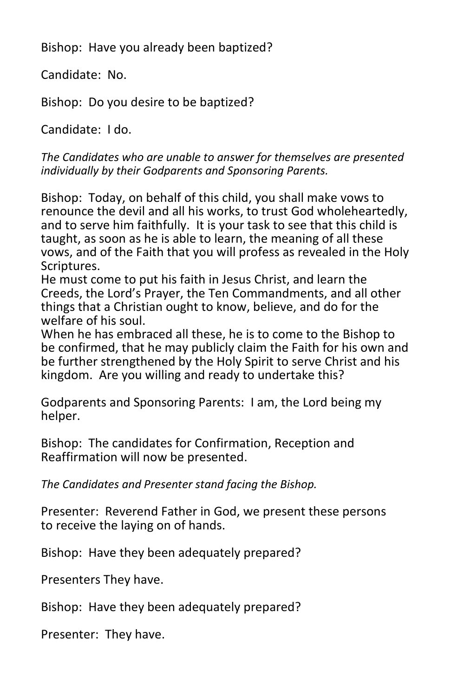Bishop: Have you already been baptized?

Candidate: No.

Bishop: Do you desire to be baptized?

Candidate: I do.

*The Candidates who are unable to answer for themselves are presented individually by their Godparents and Sponsoring Parents.*

Bishop: Today, on behalf of this child, you shall make vows to renounce the devil and all his works, to trust God wholeheartedly, and to serve him faithfully. It is your task to see that this child is taught, as soon as he is able to learn, the meaning of all these vows, and of the Faith that you will profess as revealed in the Holy Scriptures.

He must come to put his faith in Jesus Christ, and learn the Creeds, the Lord's Prayer, the Ten Commandments, and all other things that a Christian ought to know, believe, and do for the welfare of his soul.

When he has embraced all these, he is to come to the Bishop to be confirmed, that he may publicly claim the Faith for his own and be further strengthened by the Holy Spirit to serve Christ and his kingdom. Are you willing and ready to undertake this?

Godparents and Sponsoring Parents: I am, the Lord being my helper.

Bishop: The candidates for Confirmation, Reception and Reaffirmation will now be presented.

*The Candidates and Presenter stand facing the Bishop.*

Presenter: Reverend Father in God, we present these persons to receive the laying on of hands.

Bishop: Have they been adequately prepared?

Presenters They have.

Bishop: Have they been adequately prepared?

Presenter: They have.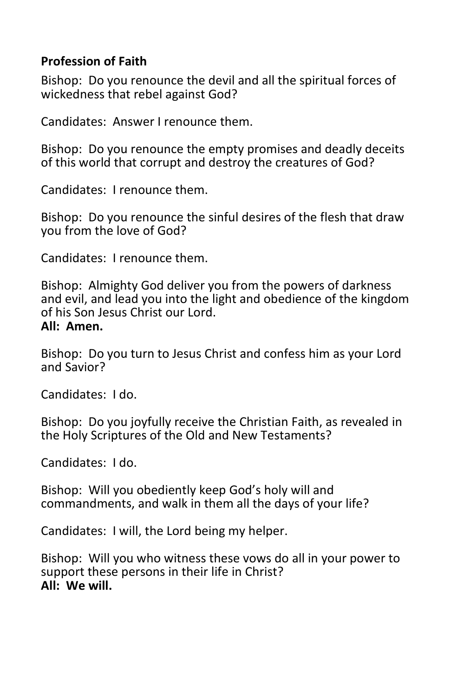#### **Profession of Faith**

Bishop: Do you renounce the devil and all the spiritual forces of wickedness that rebel against God?

Candidates: Answer I renounce them.

Bishop: Do you renounce the empty promises and deadly deceits of this world that corrupt and destroy the creatures of God?

Candidates: I renounce them.

Bishop: Do you renounce the sinful desires of the flesh that draw you from the love of God?

Candidates: I renounce them.

Bishop: Almighty God deliver you from the powers of darkness and evil, and lead you into the light and obedience of the kingdom of his Son Jesus Christ our Lord. **All: Amen.**

Bishop: Do you turn to Jesus Christ and confess him as your Lord and Savior?

Candidates: I do.

Bishop: Do you joyfully receive the Christian Faith, as revealed in the Holy Scriptures of the Old and New Testaments?

Candidates: I do.

Bishop: Will you obediently keep God's holy will and commandments, and walk in them all the days of your life?

Candidates: I will, the Lord being my helper.

Bishop: Will you who witness these vows do all in your power to support these persons in their life in Christ? **All: We will.**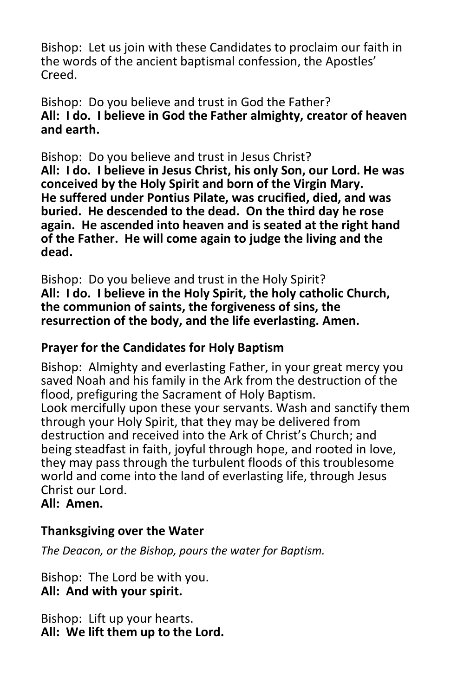Bishop: Let us join with these Candidates to proclaim our faith in the words of the ancient baptismal confession, the Apostles' Creed.

Bishop: Do you believe and trust in God the Father? **All: I do. I believe in God the Father almighty, creator of heaven and earth.** 

Bishop: Do you believe and trust in Jesus Christ? **All: I do. I believe in Jesus Christ, his only Son, our Lord. He was conceived by the Holy Spirit and born of the Virgin Mary. He suffered under Pontius Pilate, was crucified, died, and was buried. He descended to the dead. On the third day he rose again. He ascended into heaven and is seated at the right hand of the Father. He will come again to judge the living and the dead.** 

Bishop: Do you believe and trust in the Holy Spirit? **All: I do. I believe in the Holy Spirit, the holy catholic Church, the communion of saints, the forgiveness of sins, the resurrection of the body, and the life everlasting. Amen.** 

# **Prayer for the Candidates for Holy Baptism**

Bishop: Almighty and everlasting Father, in your great mercy you saved Noah and his family in the Ark from the destruction of the flood, prefiguring the Sacrament of Holy Baptism. Look mercifully upon these your servants. Wash and sanctify them through your Holy Spirit, that they may be delivered from destruction and received into the Ark of Christ's Church; and being steadfast in faith, joyful through hope, and rooted in love, they may pass through the turbulent floods of this troublesome world and come into the land of everlasting life, through Jesus Christ our Lord.

#### **All: Amen.**

# **Thanksgiving over the Water**

*The Deacon, or the Bishop, pours the water for Baptism.* 

Bishop: The Lord be with you. **All: And with your spirit.** 

Bishop: Lift up your hearts. **All: We lift them up to the Lord.**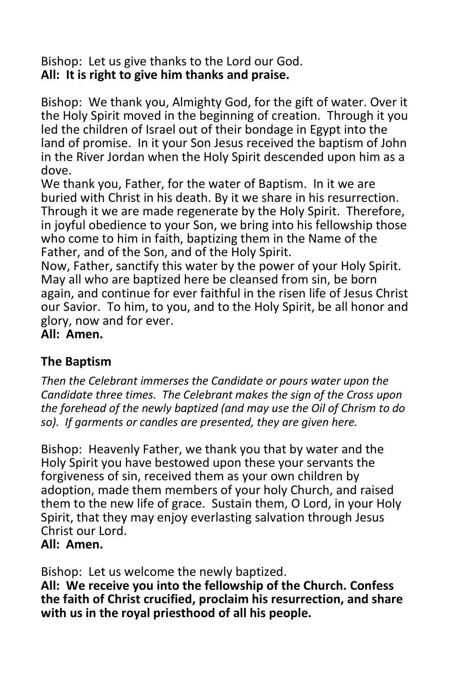Bishop: Let us give thanks to the Lord our God. **All: It is right to give him thanks and praise.** 

Bishop: We thank you, Almighty God, for the gift of water. Over it the Holy Spirit moved in the beginning of creation. Through it you led the children of Israel out of their bondage in Egypt into the land of promise. In it your Son Jesus received the baptism of John in the River Jordan when the Holy Spirit descended upon him as a dove.

We thank you, Father, for the water of Baptism. In it we are buried with Christ in his death. By it we share in his resurrection. Through it we are made regenerate by the Holy Spirit. Therefore, in joyful obedience to your Son, we bring into his fellowship those who come to him in faith, baptizing them in the Name of the Father, and of the Son, and of the Holy Spirit.

Now, Father, sanctify this water by the power of your Holy Spirit. May all who are baptized here be cleansed from sin, be born again, and continue for ever faithful in the risen life of Jesus Christ our Savior. To him, to you, and to the Holy Spirit, be all honor and glory, now and for ever.

**All: Amen.**

#### **The Baptism**

*Then the Celebrant immerses the Candidate or pours water upon the Candidate three times. The Celebrant makes the sign of the Cross upon the forehead of the newly baptized (and may use the Oil of Chrism to do so). If garments or candles are presented, they are given here.* 

Bishop: Heavenly Father, we thank you that by water and the Holy Spirit you have bestowed upon these your servants the forgiveness of sin, received them as your own children by adoption, made them members of your holy Church, and raised them to the new life of grace. Sustain them, O Lord, in your Holy Spirit, that they may enjoy everlasting salvation through Jesus Christ our Lord.

#### **All: Amen.**

Bishop: Let us welcome the newly baptized.

**All: We receive you into the fellowship of the Church. Confess the faith of Christ crucified, proclaim his resurrection, and share with us in the royal priesthood of all his people.**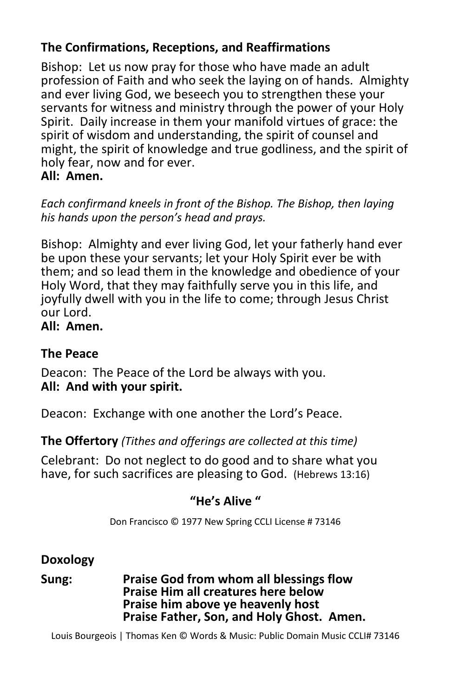# **The Confirmations, Receptions, and Reaffirmations**

Bishop: Let us now pray for those who have made an adult profession of Faith and who seek the laying on of hands. Almighty and ever living God, we beseech you to strengthen these your servants for witness and ministry through the power of your Holy Spirit. Daily increase in them your manifold virtues of grace: the spirit of wisdom and understanding, the spirit of counsel and might, the spirit of knowledge and true godliness, and the spirit of holy fear, now and for ever. **All: Amen.** 

*Each confirmand kneels in front of the Bishop. The Bishop, then laying his hands upon the person's head and prays.* 

Bishop: Almighty and ever living God, let your fatherly hand ever be upon these your servants; let your Holy Spirit ever be with them; and so lead them in the knowledge and obedience of your Holy Word, that they may faithfully serve you in this life, and joyfully dwell with you in the life to come; through Jesus Christ our Lord.

**All: Amen.** 

#### **The Peace**

Deacon:The Peace of the Lord be always with you. **All: And with your spirit.**

Deacon: Exchange with one another the Lord's Peace.

**The Offertory** *(Tithes and offerings are collected at this time)*

Celebrant: Do not neglect to do good and to share what you have, for such sacrifices are pleasing to God. (Hebrews 13:16)

#### **"He's Alive "**

Don Francisco © 1977 New Spring CCLI License # 73146

**Doxology**

#### **Sung: Praise God from whom all blessings flow Praise Him all creatures here below Praise him above ye heavenly host Praise Father, Son, and Holy Ghost. Amen.**

Louis Bourgeois | Thomas Ken © Words & Music: Public Domain Music CCLI# 73146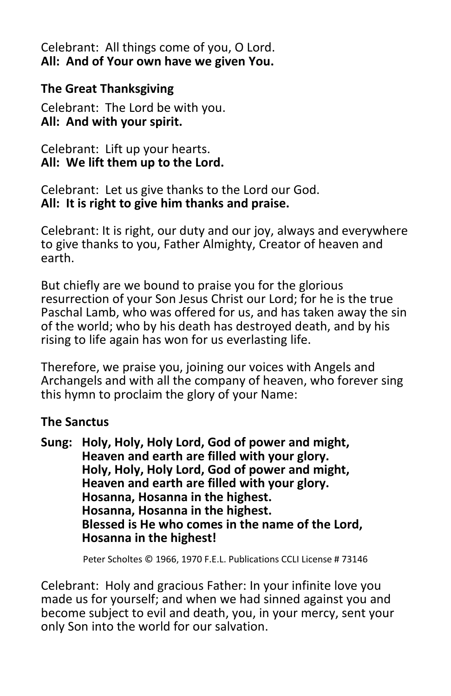Celebrant: All things come of you, O Lord. **All: And of Your own have we given You.**

#### **The Great Thanksgiving**

Celebrant: The Lord be with you. **All: And with your spirit.**

Celebrant: Lift up your hearts. **All: We lift them up to the Lord.**

Celebrant: Let us give thanks to the Lord our God. **All: It is right to give him thanks and praise.**

Celebrant: It is right, our duty and our joy, always and everywhere to give thanks to you, Father Almighty, Creator of heaven and earth.

But chiefly are we bound to praise you for the glorious resurrection of your Son Jesus Christ our Lord; for he is the true Paschal Lamb, who was offered for us, and has taken away the sin of the world; who by his death has destroyed death, and by his rising to life again has won for us everlasting life.

Therefore, we praise you, joining our voices with Angels and Archangels and with all the company of heaven, who forever sing this hymn to proclaim the glory of your Name:

#### **The Sanctus**

**Sung: Holy, Holy, Holy Lord, God of power and might, Heaven and earth are filled with your glory. Holy, Holy, Holy Lord, God of power and might, Heaven and earth are filled with your glory. Hosanna, Hosanna in the highest. Hosanna, Hosanna in the highest. Blessed is He who comes in the name of the Lord, Hosanna in the highest!** 

Peter Scholtes © 1966, 1970 F.E.L. Publications CCLI License # 73146

Celebrant: Holy and gracious Father: In your infinite love you made us for yourself; and when we had sinned against you and become subject to evil and death, you, in your mercy, sent your only Son into the world for our salvation.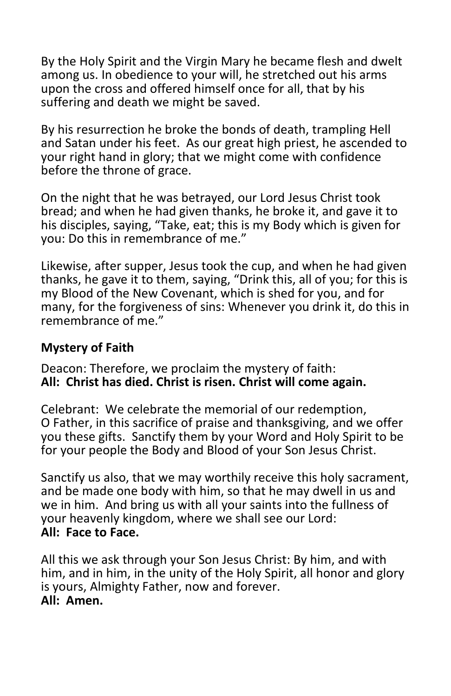By the Holy Spirit and the Virgin Mary he became flesh and dwelt among us. In obedience to your will, he stretched out his arms upon the cross and offered himself once for all, that by his suffering and death we might be saved.

By his resurrection he broke the bonds of death, trampling Hell and Satan under his feet. As our great high priest, he ascended to your right hand in glory; that we might come with confidence before the throne of grace.

On the night that he was betrayed, our Lord Jesus Christ took bread; and when he had given thanks, he broke it, and gave it to his disciples, saying, "Take, eat; this is my Body which is given for you: Do this in remembrance of me."

Likewise, after supper, Jesus took the cup, and when he had given thanks, he gave it to them, saying, "Drink this, all of you; for this is my Blood of the New Covenant, which is shed for you, and for many, for the forgiveness of sins: Whenever you drink it, do this in remembrance of me."

#### **Mystery of Faith**

Deacon: Therefore, we proclaim the mystery of faith: **All: Christ has died. Christ is risen. Christ will come again.**

Celebrant: We celebrate the memorial of our redemption, O Father, in this sacrifice of praise and thanksgiving, and we offer you these gifts. Sanctify them by your Word and Holy Spirit to be for your people the Body and Blood of your Son Jesus Christ.

Sanctify us also, that we may worthily receive this holy sacrament, and be made one body with him, so that he may dwell in us and we in him. And bring us with all your saints into the fullness of your heavenly kingdom, where we shall see our Lord: **All: Face to Face.**

All this we ask through your Son Jesus Christ: By him, and with him, and in him, in the unity of the Holy Spirit, all honor and glory is yours, Almighty Father, now and forever. **All: Amen.**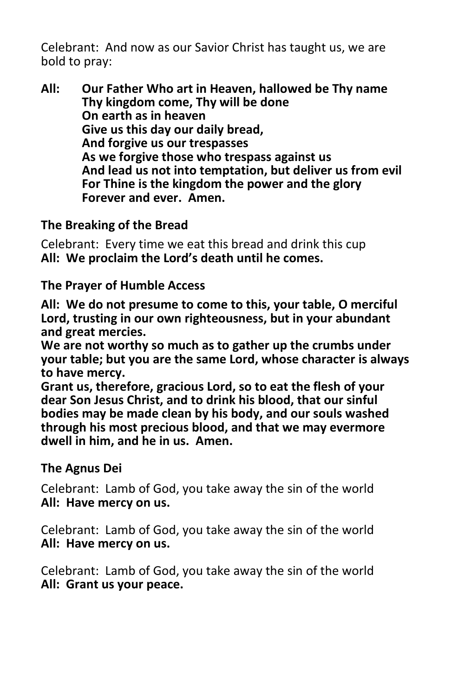Celebrant: And now as our Savior Christ has taught us, we are bold to pray:

**All: Our Father Who art in Heaven, hallowed be Thy name Thy kingdom come, Thy will be done On earth as in heaven Give us this day our daily bread, And forgive us our trespasses As we forgive those who trespass against us And lead us not into temptation, but deliver us from evil For Thine is the kingdom the power and the glory Forever and ever. Amen.**

#### **The Breaking of the Bread**

Celebrant: Every time we eat this bread and drink this cup **All: We proclaim the Lord's death until he comes.**

**The Prayer of Humble Access**

**All: We do not presume to come to this, your table, O merciful Lord, trusting in our own righteousness, but in your abundant and great mercies.** 

**We are not worthy so much as to gather up the crumbs under your table; but you are the same Lord, whose character is always to have mercy.** 

**Grant us, therefore, gracious Lord, so to eat the flesh of your dear Son Jesus Christ, and to drink his blood, that our sinful bodies may be made clean by his body, and our souls washed through his most precious blood, and that we may evermore dwell in him, and he in us. Amen.**

#### **The Agnus Dei**

Celebrant: Lamb of God, you take away the sin of the world **All: Have mercy on us.** 

Celebrant: Lamb of God, you take away the sin of the world **All: Have mercy on us.** 

Celebrant: Lamb of God, you take away the sin of the world **All: Grant us your peace.**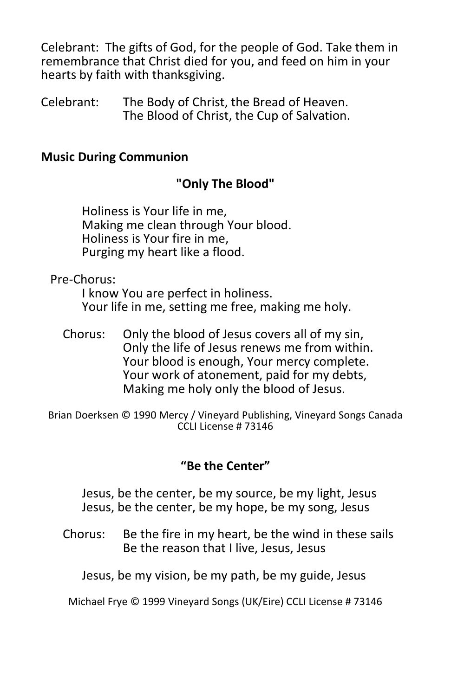Celebrant: The gifts of God, for the people of God. Take them in remembrance that Christ died for you, and feed on him in your hearts by faith with thanksgiving.

Celebrant: The Body of Christ, the Bread of Heaven. The Blood of Christ, the Cup of Salvation.

#### **Music During Communion**

#### **"Only The Blood"**

Holiness is Your life in me, Making me clean through Your blood. Holiness is Your fire in me, Purging my heart like a flood.

#### Pre-Chorus:

I know You are perfect in holiness. Your life in me, setting me free, making me holy.

 Chorus: Only the blood of Jesus covers all of my sin, Only the life of Jesus renews me from within. Your blood is enough, Your mercy complete. Your work of atonement, paid for my debts, Making me holy only the blood of Jesus.

Brian Doerksen © 1990 Mercy / Vineyard Publishing, Vineyard Songs Canada CCLI License # 73146

#### **"Be the Center"**

Jesus, be the center, be my source, be my light, Jesus Jesus, be the center, be my hope, be my song, Jesus

 Chorus: Be the fire in my heart, be the wind in these sails Be the reason that I live, Jesus, Jesus

Jesus, be my vision, be my path, be my guide, Jesus

Michael Frye © 1999 Vineyard Songs (UK/Eire) CCLI License # 73146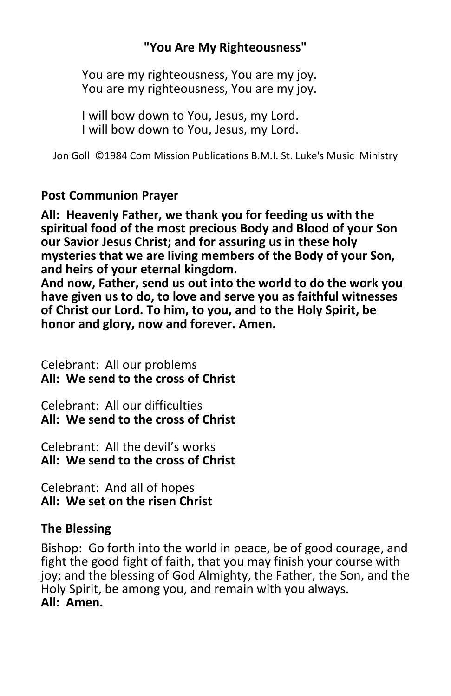# **"You Are My Righteousness"**

You are my righteousness, You are my joy. You are my righteousness, You are my joy.

I will bow down to You, Jesus, my Lord. I will bow down to You, Jesus, my Lord.

Jon Goll ©1984 Com Mission Publications B.M.I. St. Luke's Music Ministry

#### **Post Communion Prayer**

**All: Heavenly Father, we thank you for feeding us with the spiritual food of the most precious Body and Blood of your Son our Savior Jesus Christ; and for assuring us in these holy mysteries that we are living members of the Body of your Son, and heirs of your eternal kingdom.** 

**And now, Father, send us out into the world to do the work you have given us to do, to love and serve you as faithful witnesses of Christ our Lord. To him, to you, and to the Holy Spirit, be honor and glory, now and forever. Amen.**

Celebrant: All our problems **All: We send to the cross of Christ**

Celebrant: All our difficulties **All: We send to the cross of Christ**

Celebrant: All the devil's works **All: We send to the cross of Christ**

Celebrant: And all of hopes **All: We set on the risen Christ**

#### **The Blessing**

Bishop: Go forth into the world in peace, be of good courage, and fight the good fight of faith, that you may finish your course with joy; and the blessing of God Almighty, the Father, the Son, and the Holy Spirit, be among you, and remain with you always. **All: Amen.**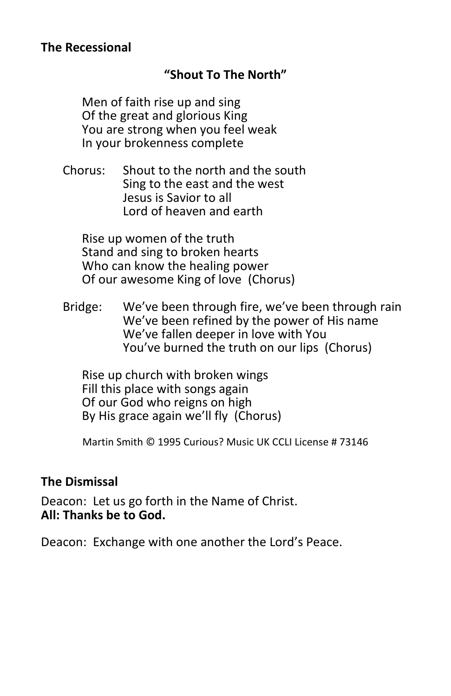#### **"Shout To The North"**

Men of faith rise up and sing Of the great and glorious King You are strong when you feel weak In your brokenness complete

 Chorus: Shout to the north and the south Sing to the east and the west Jesus is Savior to all Lord of heaven and earth

Rise up women of the truth Stand and sing to broken hearts Who can know the healing power Of our awesome King of love (Chorus)

 Bridge: We've been through fire, we've been through rain We've been refined by the power of His name We've fallen deeper in love with You You've burned the truth on our lips (Chorus)

Rise up church with broken wings Fill this place with songs again Of our God who reigns on high By His grace again we'll fly (Chorus)

Martin Smith © 1995 Curious? Music UK CCLI License # 73146

#### **The Dismissal**

Deacon: Let us go forth in the Name of Christ. **All: Thanks be to God.**

Deacon: Exchange with one another the Lord's Peace.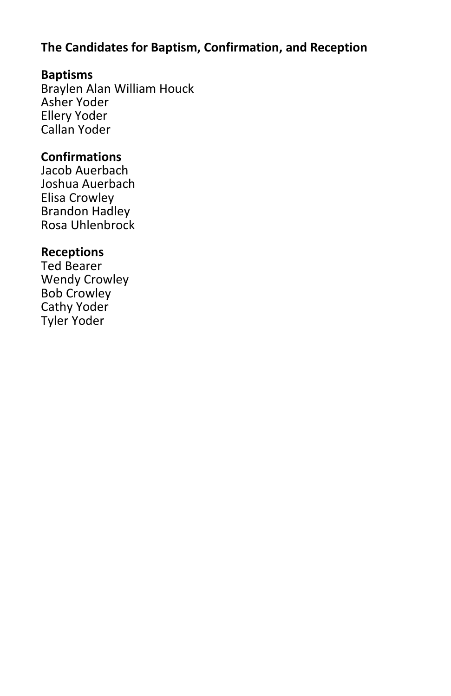## **The Candidates for Baptism, Confirmation, and Reception**

#### **Baptisms**

Braylen Alan William Houck Asher Yoder Ellery Yoder Callan Yoder

#### **Confirmations**

Jacob Auerbach Joshua Auerbach Elisa Crowley Brandon Hadley Rosa Uhlenbrock

#### **Receptions**

Ted Bearer Wendy Crowley Bob Crowley Cathy Yoder Tyler Yoder